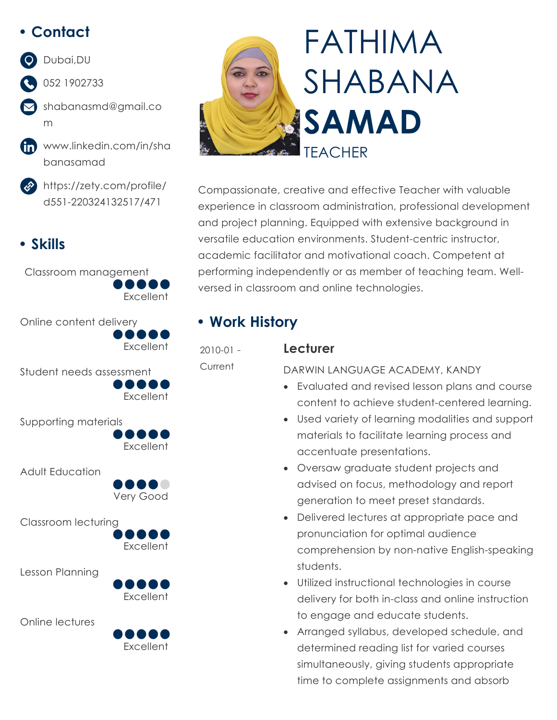# **• Contact**

# Dubai,DU

- 052 1902733
- shabanasmd@gmail.co m
- fin www.linkedin.com/in/sha banasamad
	- https://zety.com/profile/ d551-220324132517/471

# **• Skills**

Classroom management **Excellent** 



Student needs assessment **Excellent** 

Supporting materials



Adult Education



Classroom lecturing





Online lectures

Lesson Planning





Compassionate, creative and effective Teacher with valuable experience in classroom administration, professional development and project planning. Equipped with extensive background in versatile education environments. Student-centric instructor, academic facilitator and motivational coach. Competent at performing independently or as member of teaching team. Wellversed in classroom and online technologies.

# **• Work History**

2010-01 - **Current** 

#### **Lecturer**

DARWIN LANGUAGE ACADEMY, KANDY

- Evaluated and revised lesson plans and course content to achieve student-centered learning.
- Used variety of learning modalities and support materials to facilitate learning process and accentuate presentations.
- Oversaw graduate student projects and advised on focus, methodology and report generation to meet preset standards.
- Delivered lectures at appropriate pace and pronunciation for optimal audience comprehension by non-native English-speaking students.
- Utilized instructional technologies in course delivery for both in-class and online instruction to engage and educate students.
- Arranged syllabus, developed schedule, and determined reading list for varied courses simultaneously, giving students appropriate time to complete assignments and absorb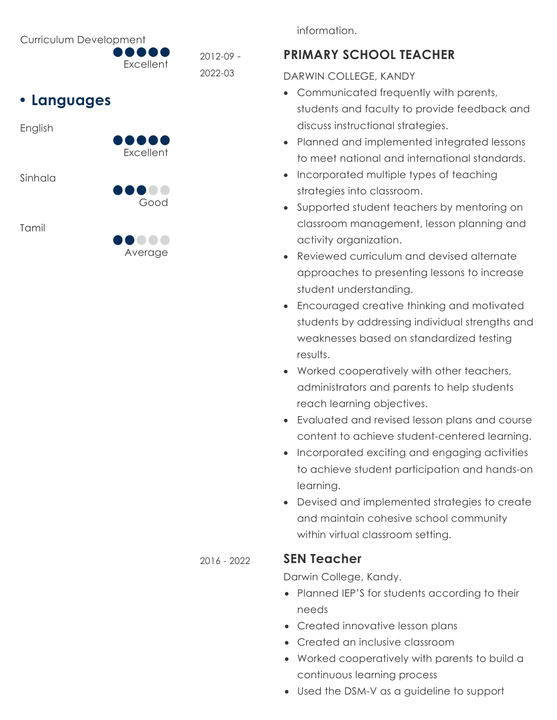Curriculum Development

**Excellent** 2012-09 - 2022-03

# **• Languages**

English



Sinhala

Tamil



Good

. . . . .

information.

### **PRIMARY SCHOOL TEACHER**

DARWIN COLLEGE, KANDY

- Communicated frequently with parents, students and faculty to provide feedback and discuss instructional strategies.
- Planned and implemented integrated lessons to meet national and international standards.
- Incorporated multiple types of teaching strategies into classroom.
- Supported student teachers by mentoring on classroom management, lesson planning and activity organization.
- Reviewed curriculum and devised alternate approaches to presenting lessons to increase student understanding.
- Encouraged creative thinking and motivated students by addressing individual strengths and weaknesses based on standardized testing results.
- Worked cooperatively with other teachers, administrators and parents to help students reach learning objectives.
- Evaluated and revised lesson plans and course content to achieve student-centered learning.
- Incorporated exciting and engaging activities to achieve student participation and hands-on learning.
- Devised and implemented strategies to create and maintain cohesive school community within virtual classroom setting.

### 2016 - 2022 **SEN Teacher**

Darwin College, Kandy.

- Planned IEP'S for students according to their needs
- Created innovative lesson plans
- Created an inclusive classroom
- Worked cooperatively with parents to build a continuous learning process
- Used the DSM-V as a guideline to support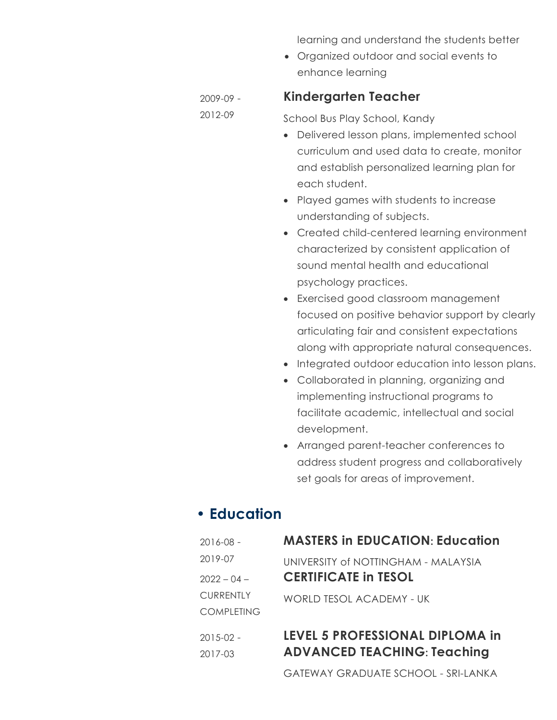learning and understand the students better

• Organized outdoor and social events to enhance learning

#### **Kindergarten Teacher**

2009-09 - 2012-09

School Bus Play School, Kandy

- Delivered lesson plans, implemented school curriculum and used data to create, monitor and establish personalized learning plan for each student.
- Played games with students to increase understanding of subjects.
- Created child-centered learning environment characterized by consistent application of sound mental health and educational psychology practices.
- Exercised good classroom management focused on positive behavior support by clearly articulating fair and consistent expectations along with appropriate natural consequences.
- Integrated outdoor education into lesson plans.
- Collaborated in planning, organizing and implementing instructional programs to facilitate academic, intellectual and social development.
- Arranged parent-teacher conferences to address student progress and collaboratively set goals for areas of improvement.

### **• Education**

| 2016-08 -            | <b>MASTERS in EDUCATION: Education</b>                                |
|----------------------|-----------------------------------------------------------------------|
| 2019-07              | UNIVERSITY of NOTTINGHAM - MALAYSIA                                   |
| $2022 - 04 -$        | <b>CERTIFICATE in TESOL</b>                                           |
| <b>CURRENTLY</b>     | WORLD TESOL ACADEMY - UK                                              |
| COMPLETING           |                                                                       |
| 2015-02 -<br>2017-03 | LEVEL 5 PROFESSIONAL DIPLOMA in<br><b>ADVANCED TEACHING: Teaching</b> |

GATEWAY GRADUATE SCHOOL - SRI-LANKA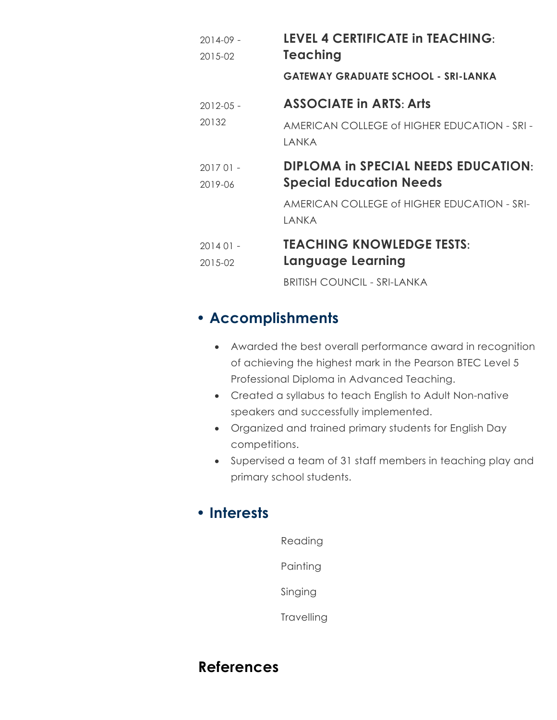| $2014 - 09 -$         | <b>LEVEL 4 CERTIFICATE in TEACHING:</b><br>Teaching                          |
|-----------------------|------------------------------------------------------------------------------|
| 2015-02               | <b>GATEWAY GRADUATE SCHOOL - SRI-LANKA</b>                                   |
| $2012 - 0.5 -$        | <b>ASSOCIATE in ARTS: Arts</b>                                               |
| 20132                 | AMERICAN COLLEGE of HIGHER EDUCATION - SRI -<br>I ANKA                       |
| $201701 -$<br>2019-06 | <b>DIPLOMA in SPECIAL NEEDS EDUCATION:</b><br><b>Special Education Needs</b> |
|                       | AMERICAN COLLEGE of HIGHER EDUCATION - SRI-<br>I ANKA                        |
| $201401 -$<br>2015-02 | <b>TEACHING KNOWLEDGE TESTS:</b><br>Language Learning                        |
|                       | <b>BRITISH COUNCIL - SRI-LANKA</b>                                           |

# **• Accomplishments**

- Awarded the best overall performance award in recognition of achieving the highest mark in the Pearson BTEC Level 5 Professional Diploma in Advanced Teaching.
- Created a syllabus to teach English to Adult Non-native speakers and successfully implemented.
- Organized and trained primary students for English Day competitions.
- Supervised a team of 31 staff members in teaching play and primary school students.

## **• Interests**

| Reading    |
|------------|
| Painting   |
| Singing    |
| Travelling |

## **References**